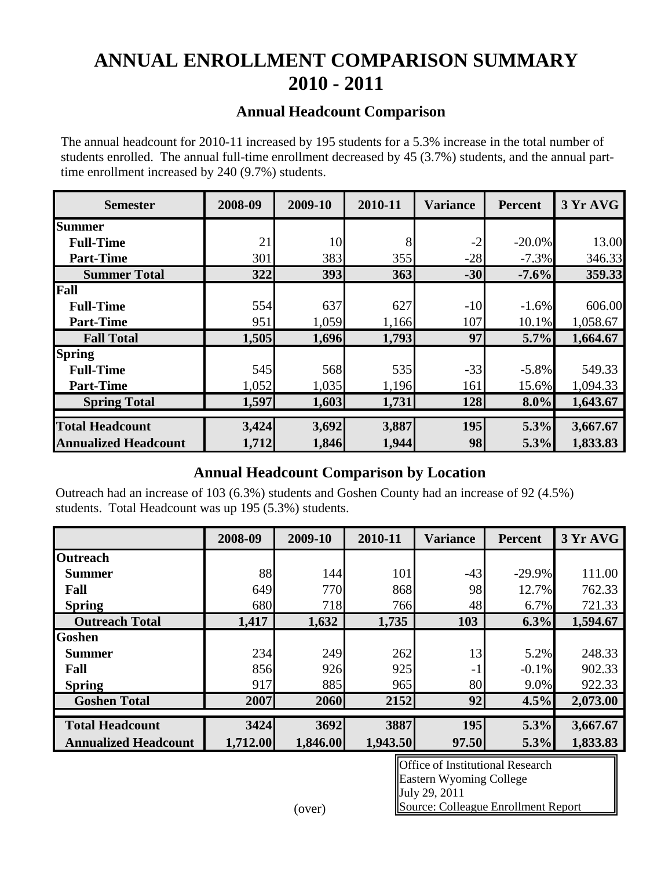# **ANNUAL ENROLLMENT COMPARISON SUMMARY 2010 - 2011**

#### **Annual Headcount Comparison**

The annual headcount for 2010-11 increased by 195 students for a 5.3% increase in the total number of students enrolled. The annual full-time enrollment decreased by 45 (3.7%) students, and the annual parttime enrollment increased by 240 (9.7%) students.

| <b>Semester</b>             | 2008-09 | 2009-10 | 2010-11 | <b>Variance</b> | <b>Percent</b> | 3 Yr AVG |
|-----------------------------|---------|---------|---------|-----------------|----------------|----------|
| <b>Summer</b>               |         |         |         |                 |                |          |
| <b>Full-Time</b>            | 21      | 10      | 8       | $-2$            | $-20.0\%$      | 13.00    |
| <b>Part-Time</b>            | 301     | 383     | 355     | $-28$           | $-7.3%$        | 346.33   |
| <b>Summer Total</b>         | 322     | 393     | 363     | $-30$           | $-7.6%$        | 359.33   |
| Fall                        |         |         |         |                 |                |          |
| <b>Full-Time</b>            | 554     | 637     | 627     | $-10$           | $-1.6%$        | 606.00   |
| <b>Part-Time</b>            | 951     | 1,059   | 1,166   | 107             | 10.1%          | 1,058.67 |
| <b>Fall Total</b>           | 1,505   | 1,696   | 1,793   | 97              | 5.7%           | 1,664.67 |
| <b>Spring</b>               |         |         |         |                 |                |          |
| <b>Full-Time</b>            | 545     | 568     | 535     | $-33$           | $-5.8%$        | 549.33   |
| <b>Part-Time</b>            | 1,052   | 1,035   | 1,196   | 161             | 15.6%          | 1,094.33 |
| <b>Spring Total</b>         | 1,597   | 1,603   | 1,731   | 128             | $8.0\%$        | 1,643.67 |
| <b>Total Headcount</b>      | 3,424   | 3,692   | 3,887   | 195             | 5.3%           | 3,667.67 |
| <b>Annualized Headcount</b> | 1,712   | 1,846   | 1,944   | 98              | 5.3%           | 1,833.83 |

#### **Annual Headcount Comparison by Location**

**Annualized Headcount** 1,712 1,846 1,944 98 5.3% 1,833.83<br> **Annual Headcount Comparison by Location**<br>
Outreach had an increase of 103 (6.3%) students and Goshen County had an increase of 92 (4.5%)<br>
students. Total Headcoun Outreach had an increase of 103 (6.3%) students and Goshen County had an increase of 92 (4.5%) students. Total Headcount was up 195 (5.3%) students.

|                             | 2008-09  | 2009-10  | 2010-11  | <b>Variance</b> | <b>Percent</b> | 3 Yr AVG |  |
|-----------------------------|----------|----------|----------|-----------------|----------------|----------|--|
| <b>Outreach</b>             |          |          |          |                 |                |          |  |
| <b>Summer</b>               | 88       | 144      | 101      | $-43$           | $-29.9\%$      | 111.00   |  |
| Fall                        | 649      | 770      | 868      | 98              | 12.7%          | 762.33   |  |
| <b>Spring</b>               | 680      | 718      | 766      | 48              | 6.7%           | 721.33   |  |
| <b>Outreach Total</b>       | 1,417    | 1,632    | 1,735    | 103             | 6.3%           | 1,594.67 |  |
| <b>Goshen</b>               |          |          |          |                 |                |          |  |
| <b>Summer</b>               | 234      | 249      | 262      | 13              | 5.2%           | 248.33   |  |
| Fall                        | 856      | 926      | 925      | $-1$            | $-0.1\%$       | 902.33   |  |
| <b>Spring</b>               | 917      | 885      | 965      | 80              | 9.0%           | 922.33   |  |
| <b>Goshen Total</b>         | 2007     | 2060     | 2152     | 92              | 4.5%           | 2,073.00 |  |
|                             |          |          |          |                 |                |          |  |
| <b>Total Headcount</b>      | 3424     | 3692     | 3887     | 195             | 5.3%           | 3,667.67 |  |
| <b>Annualized Headcount</b> | 1,712.00 | 1,846.00 | 1,943.50 | 97.50           | 5.3%           | 1,833.83 |  |

Office of Institutional Research Eastern Wyoming College July 29, 2011 Source: Colleague Enrollment Report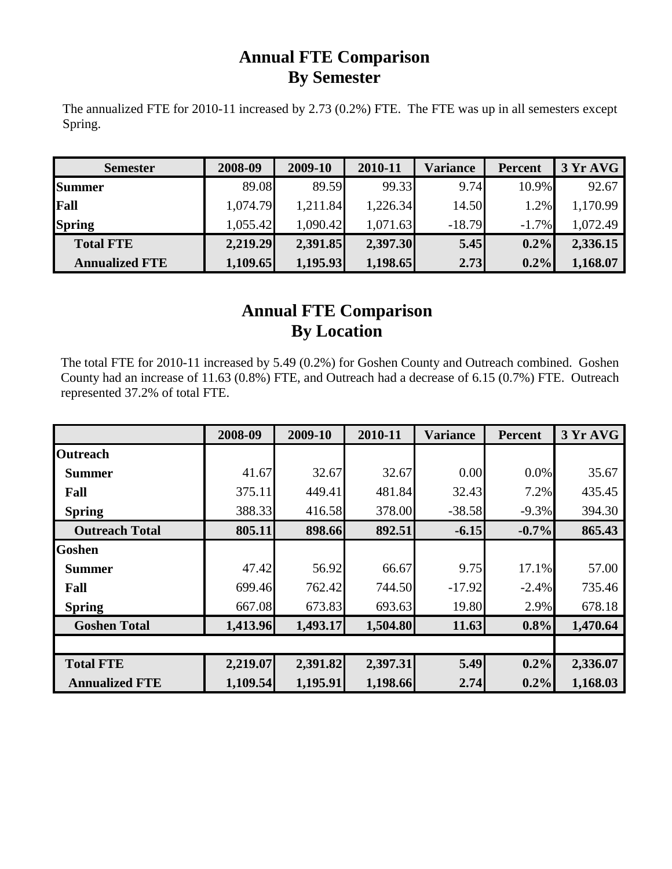### **Annual FTE Comparison By Semester**

The annualized FTE for 2010-11 increased by 2.73 (0.2%) FTE. The FTE was up in all semesters except Spring.

| <b>Semester</b>       | 2008-09  | 2009-10  | 2010-11  | <b>Variance</b> | <b>Percent</b> | 3 Yr AVG |  |
|-----------------------|----------|----------|----------|-----------------|----------------|----------|--|
| <b>Summer</b>         | 89.08    | 89.59    | 99.33    | 9.74            | 10.9%          | 92.67    |  |
| Fall                  | 1,074.79 | 1,211.84 | 1,226.34 | 14.50           | 1.2%           | 1,170.99 |  |
| <b>Spring</b>         | 1,055.42 | 1,090.42 | 1,071.63 | $-18.79$        | $-1.7\%$       | 1,072.49 |  |
| <b>Total FTE</b>      | 2,219.29 | 2,391.85 | 2,397.30 | 5.45            | 0.2%           | 2,336.15 |  |
| <b>Annualized FTE</b> | 1,109.65 | 1,195.93 | 1,198.65 | 2.73            | $0.2\%$        | 1,168.07 |  |

## **Annual FTE Comparison By Location**

The total FTE for 2010-11 increased by 5.49 (0.2%) for Goshen County and Outreach combined. Goshen County had an increase of 11.63 (0.8%) FTE, and Outreach had a decrease of 6.15 (0.7%) FTE. Outreach represented 37.2% of total FTE.

|                       | 2008-09  | 2009-10  | 2010-11  | <b>Variance</b> | <b>Percent</b> | 3 Yr AVG |
|-----------------------|----------|----------|----------|-----------------|----------------|----------|
| <b>Outreach</b>       |          |          |          |                 |                |          |
| <b>Summer</b>         | 41.67    | 32.67    | 32.67    | 0.00            | $0.0\%$        | 35.67    |
| Fall                  | 375.11   | 449.41   | 481.84   | 32.43           | 7.2%           | 435.45   |
| <b>Spring</b>         | 388.33   | 416.58   | 378.00   | $-38.58$        | $-9.3%$        | 394.30   |
| <b>Outreach Total</b> | 805.11   | 898.66   | 892.51   | $-6.15$         | $-0.7\%$       | 865.43   |
| <b>Goshen</b>         |          |          |          |                 |                |          |
| <b>Summer</b>         | 47.42    | 56.92    | 66.67    | 9.75            | 17.1%          | 57.00    |
| Fall                  | 699.46   | 762.42   | 744.50   | $-17.92$        | $-2.4%$        | 735.46   |
| <b>Spring</b>         | 667.08   | 673.83   | 693.63   | 19.80           | 2.9%           | 678.18   |
| <b>Goshen Total</b>   | 1,413.96 | 1,493.17 | 1,504.80 | 11.63           | 0.8%           | 1,470.64 |
|                       |          |          |          |                 |                |          |
| <b>Total FTE</b>      | 2,219.07 | 2,391.82 | 2,397.31 | 5.49            | $0.2\%$        | 2,336.07 |
| <b>Annualized FTE</b> | 1,109.54 | 1,195.91 | 1,198.66 | 2.74            | $0.2\%$        | 1,168.03 |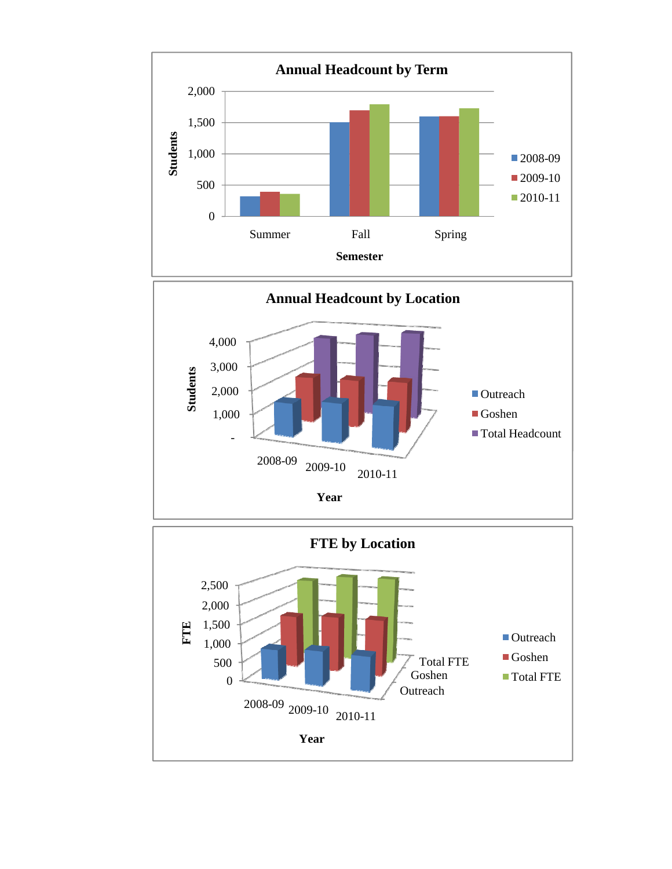

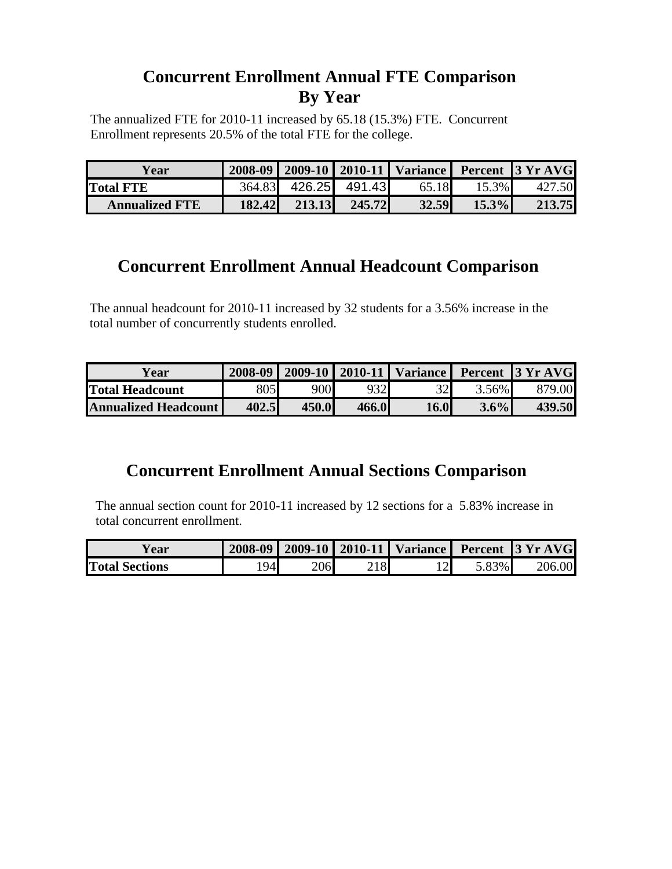### **Concurrent Enrollment Annual FTE Comparison By Year**

The annualized FTE for 2010-11 increased by 65.18 (15.3%) FTE. Concurrent Enrollment represents 20.5% of the total FTE for the college.

| Y ear                 | 2008-09   2009-10   2010-11   Variance   Percent   3 Yr AVG |                      |        |       |          |        |  |
|-----------------------|-------------------------------------------------------------|----------------------|--------|-------|----------|--------|--|
| <b>Total FTE</b>      |                                                             | 364.83 426.25 491.43 |        | 65.18 | 15.3%    | 427.50 |  |
| <b>Annualized FTE</b> | 182.42                                                      | 213.13               | 245.72 | 32.59 | $15.3\%$ | 213.75 |  |

#### **Concurrent Enrollment Annual Headcount Comparison**

The annual headcount for 2010-11 increased by 32 students for a 3.56% increase in the total number of concurrently students enrolled.

| ∡ear                        |       |       |       |                 |         | 2008-09   2009-10   2010-11   Variance   Percent   3 Yr AVG |
|-----------------------------|-------|-------|-------|-----------------|---------|-------------------------------------------------------------|
| <b>Total Headcount</b>      | 805   | 900   | 932   | 32 <sup>1</sup> | 3.56%   | 879.00                                                      |
| <b>Annualized Headcount</b> | 402.5 | 450.0 | 466.0 | <b>16.0</b>     | $3.6\%$ | 439.50                                                      |

### **Concurrent Enrollment Annual Sections Comparison**

The annual section count for 2010-11 increased by 12 sections for a 5.83% increase in total concurrent enrollment.

| ear)                  |    |     |  |          | 2008-09   2009-10   2010-11   Variance   Percent   3 Yr AVG |  |
|-----------------------|----|-----|--|----------|-------------------------------------------------------------|--|
| <b>Total Sections</b> | 94 | 206 |  | $5.83\%$ | 206                                                         |  |